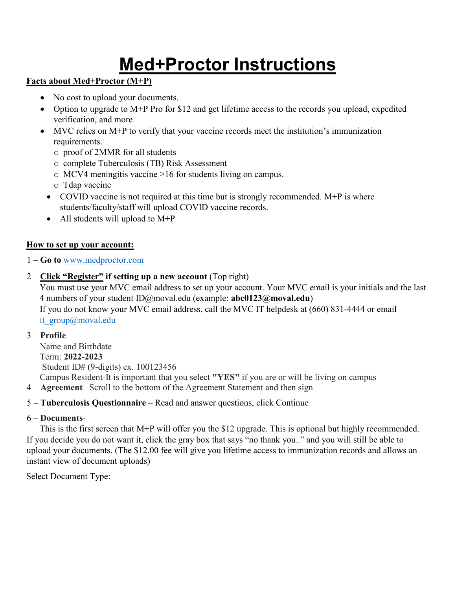# **Med+Proctor Instructions**

## **Facts about Med+Proctor (M+P)**

- No cost to upload your documents.
- Option to upgrade to M+P Pro for \$12 and get lifetime access to the records you upload, expedited verification, and more
- MVC relies on M+P to verify that your vaccine records meet the institution's immunization requirements.
	- o proof of 2MMR for all students
	- o complete Tuberculosis (TB) Risk Assessment
	- o MCV4 meningitis vaccine >16 for students living on campus.
	- o Tdap vaccine
	- COVID vaccine is not required at this time but is strongly recommended.  $M+P$  is where students/faculty/staff will upload COVID vaccine records.
	- All students will upload to  $M+P$

# **How to set up your account:**

- 1 **Go to** [www.medproctor.com](http://www.medproctor.com/)
- 2 **Click "Register" if setting up a new account** (Top right)

You must use your MVC email address to set up your account. Your MVC email is your initials and the last 4 numbers of your student [ID@moval.edu](mailto:ID@moval.edu) (example: **abc0123@moval.edu**) If you do not know your MVC email address, call the MVC IT helpdesk at (660) 831-4444 or email it\_group@moval.edu

# 3 – **Profile**

 Name and Birthdate Term: **2022-2023** Student ID# (9-digits) ex. 100123456 Campus Resident-It is important that you select **"YES"** if you are or will be living on campus

4 – **Agreement**– Scroll to the bottom of the Agreement Statement and then sign

# 5 – **Tuberculosis Questionnaire** – Read and answer questions, click Continue

# 6 – **Documents**-

 This is the first screen that M+P will offer you the \$12 upgrade. This is optional but highly recommended. If you decide you do not want it, click the gray box that says "no thank you.." and you will still be able to upload your documents. (The \$12.00 fee will give you lifetime access to immunization records and allows an instant view of document uploads)

Select Document Type: